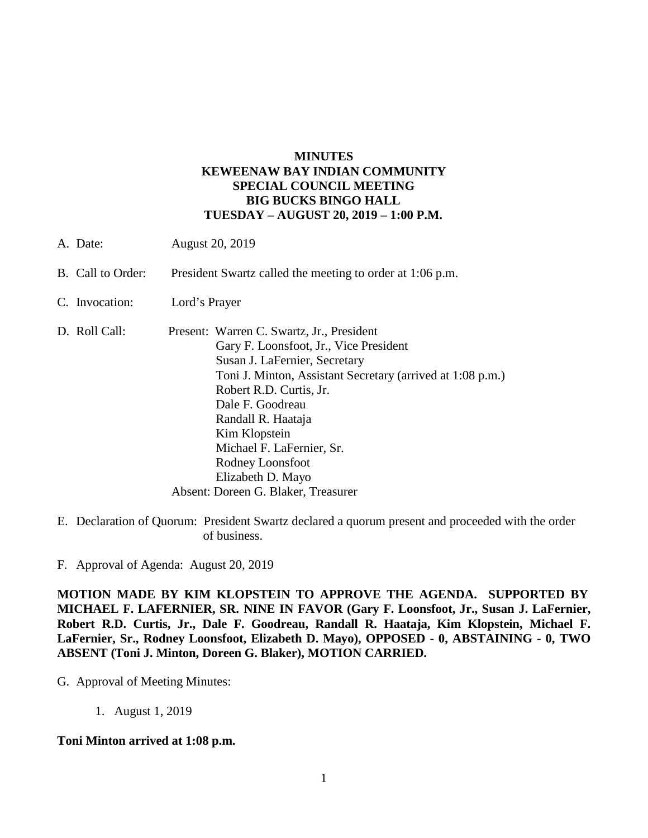## **MINUTES KEWEENAW BAY INDIAN COMMUNITY SPECIAL COUNCIL MEETING BIG BUCKS BINGO HALL TUESDAY – AUGUST 20, 2019 – 1:00 P.M.**

A. Date: August 20, 2019 B. Call to Order: President Swartz called the meeting to order at 1:06 p.m. C. Invocation: Lord's Prayer D. Roll Call: Present: Warren C. Swartz, Jr., President Gary F. Loonsfoot, Jr., Vice President Susan J. LaFernier, Secretary Toni J. Minton, Assistant Secretary (arrived at 1:08 p.m.) Robert R.D. Curtis, Jr. Dale F. Goodreau Randall R. Haataja Kim Klopstein Michael F. LaFernier, Sr. Rodney Loonsfoot

> Elizabeth D. Mayo Absent: Doreen G. Blaker, Treasurer

E. Declaration of Quorum: President Swartz declared a quorum present and proceeded with the order of business.

F. Approval of Agenda: August 20, 2019

**MOTION MADE BY KIM KLOPSTEIN TO APPROVE THE AGENDA. SUPPORTED BY MICHAEL F. LAFERNIER, SR. NINE IN FAVOR (Gary F. Loonsfoot, Jr., Susan J. LaFernier, Robert R.D. Curtis, Jr., Dale F. Goodreau, Randall R. Haataja, Kim Klopstein, Michael F. LaFernier, Sr., Rodney Loonsfoot, Elizabeth D. Mayo), OPPOSED - 0, ABSTAINING - 0, TWO ABSENT (Toni J. Minton, Doreen G. Blaker), MOTION CARRIED.**

## G. Approval of Meeting Minutes:

1. August 1, 2019

## **Toni Minton arrived at 1:08 p.m.**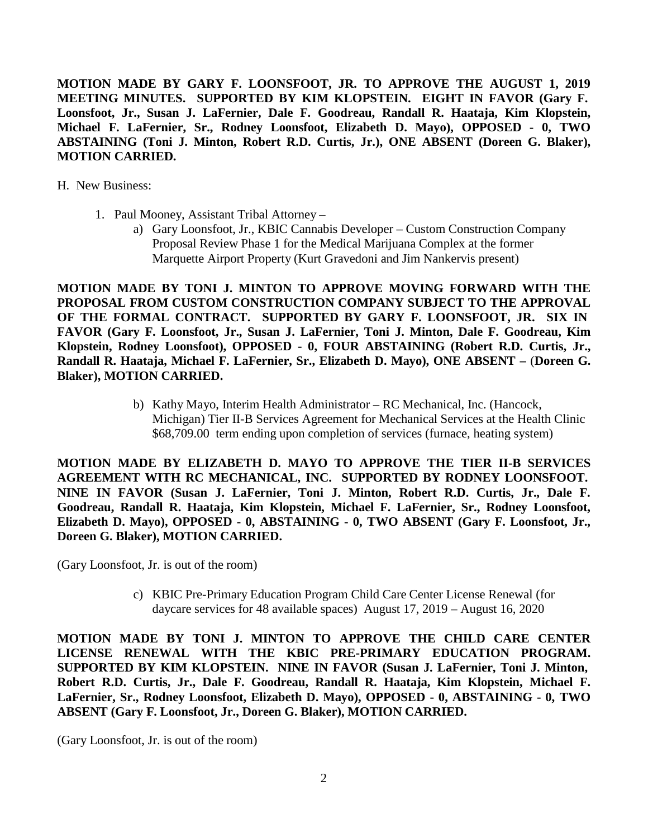**MOTION MADE BY GARY F. LOONSFOOT, JR. TO APPROVE THE AUGUST 1, 2019 MEETING MINUTES. SUPPORTED BY KIM KLOPSTEIN. EIGHT IN FAVOR (Gary F. Loonsfoot, Jr., Susan J. LaFernier, Dale F. Goodreau, Randall R. Haataja, Kim Klopstein, Michael F. LaFernier, Sr., Rodney Loonsfoot, Elizabeth D. Mayo), OPPOSED - 0, TWO ABSTAINING (Toni J. Minton, Robert R.D. Curtis, Jr.), ONE ABSENT (Doreen G. Blaker), MOTION CARRIED.**

H. New Business:

- 1. Paul Mooney, Assistant Tribal Attorney
	- a) Gary Loonsfoot, Jr., KBIC Cannabis Developer Custom Construction Company Proposal Review Phase 1 for the Medical Marijuana Complex at the former Marquette Airport Property (Kurt Gravedoni and Jim Nankervis present)

**MOTION MADE BY TONI J. MINTON TO APPROVE MOVING FORWARD WITH THE PROPOSAL FROM CUSTOM CONSTRUCTION COMPANY SUBJECT TO THE APPROVAL OF THE FORMAL CONTRACT. SUPPORTED BY GARY F. LOONSFOOT, JR. SIX IN FAVOR (Gary F. Loonsfoot, Jr., Susan J. LaFernier, Toni J. Minton, Dale F. Goodreau, Kim Klopstein, Rodney Loonsfoot), OPPOSED - 0, FOUR ABSTAINING (Robert R.D. Curtis, Jr., Randall R. Haataja, Michael F. LaFernier, Sr., Elizabeth D. Mayo), ONE ABSENT –** (**Doreen G. Blaker), MOTION CARRIED.**

> b) Kathy Mayo, Interim Health Administrator – RC Mechanical, Inc. (Hancock, Michigan) Tier II-B Services Agreement for Mechanical Services at the Health Clinic \$68,709.00 term ending upon completion of services (furnace, heating system)

**MOTION MADE BY ELIZABETH D. MAYO TO APPROVE THE TIER II-B SERVICES AGREEMENT WITH RC MECHANICAL, INC. SUPPORTED BY RODNEY LOONSFOOT. NINE IN FAVOR (Susan J. LaFernier, Toni J. Minton, Robert R.D. Curtis, Jr., Dale F. Goodreau, Randall R. Haataja, Kim Klopstein, Michael F. LaFernier, Sr., Rodney Loonsfoot, Elizabeth D. Mayo), OPPOSED - 0, ABSTAINING - 0, TWO ABSENT (Gary F. Loonsfoot, Jr., Doreen G. Blaker), MOTION CARRIED.**

(Gary Loonsfoot, Jr. is out of the room)

c) KBIC Pre-Primary Education Program Child Care Center License Renewal (for daycare services for 48 available spaces) August 17, 2019 – August 16, 2020

**MOTION MADE BY TONI J. MINTON TO APPROVE THE CHILD CARE CENTER LICENSE RENEWAL WITH THE KBIC PRE-PRIMARY EDUCATION PROGRAM. SUPPORTED BY KIM KLOPSTEIN. NINE IN FAVOR (Susan J. LaFernier, Toni J. Minton, Robert R.D. Curtis, Jr., Dale F. Goodreau, Randall R. Haataja, Kim Klopstein, Michael F. LaFernier, Sr., Rodney Loonsfoot, Elizabeth D. Mayo), OPPOSED - 0, ABSTAINING - 0, TWO ABSENT (Gary F. Loonsfoot, Jr., Doreen G. Blaker), MOTION CARRIED.**

(Gary Loonsfoot, Jr. is out of the room)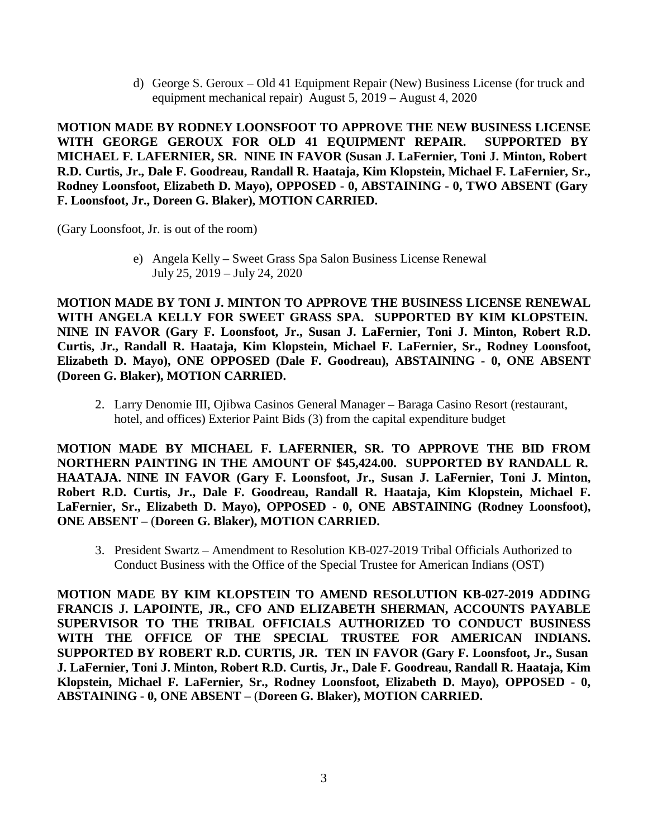d) George S. Geroux – Old 41 Equipment Repair (New) Business License (for truck and equipment mechanical repair) August 5, 2019 – August 4, 2020

**MOTION MADE BY RODNEY LOONSFOOT TO APPROVE THE NEW BUSINESS LICENSE WITH GEORGE GEROUX FOR OLD 41 EQUIPMENT REPAIR. SUPPORTED BY MICHAEL F. LAFERNIER, SR. NINE IN FAVOR (Susan J. LaFernier, Toni J. Minton, Robert R.D. Curtis, Jr., Dale F. Goodreau, Randall R. Haataja, Kim Klopstein, Michael F. LaFernier, Sr., Rodney Loonsfoot, Elizabeth D. Mayo), OPPOSED - 0, ABSTAINING - 0, TWO ABSENT (Gary F. Loonsfoot, Jr., Doreen G. Blaker), MOTION CARRIED.**

(Gary Loonsfoot, Jr. is out of the room)

e) Angela Kelly – Sweet Grass Spa Salon Business License Renewal July 25, 2019 – July 24, 2020

**MOTION MADE BY TONI J. MINTON TO APPROVE THE BUSINESS LICENSE RENEWAL WITH ANGELA KELLY FOR SWEET GRASS SPA. SUPPORTED BY KIM KLOPSTEIN. NINE IN FAVOR (Gary F. Loonsfoot, Jr., Susan J. LaFernier, Toni J. Minton, Robert R.D. Curtis, Jr., Randall R. Haataja, Kim Klopstein, Michael F. LaFernier, Sr., Rodney Loonsfoot, Elizabeth D. Mayo), ONE OPPOSED (Dale F. Goodreau), ABSTAINING - 0, ONE ABSENT (Doreen G. Blaker), MOTION CARRIED.**

2. Larry Denomie III, Ojibwa Casinos General Manager – Baraga Casino Resort (restaurant, hotel, and offices) Exterior Paint Bids (3) from the capital expenditure budget

**MOTION MADE BY MICHAEL F. LAFERNIER, SR. TO APPROVE THE BID FROM NORTHERN PAINTING IN THE AMOUNT OF \$45,424.00. SUPPORTED BY RANDALL R. HAATAJA. NINE IN FAVOR (Gary F. Loonsfoot, Jr., Susan J. LaFernier, Toni J. Minton, Robert R.D. Curtis, Jr., Dale F. Goodreau, Randall R. Haataja, Kim Klopstein, Michael F. LaFernier, Sr., Elizabeth D. Mayo), OPPOSED - 0, ONE ABSTAINING (Rodney Loonsfoot), ONE ABSENT –** (**Doreen G. Blaker), MOTION CARRIED.**

3. President Swartz – Amendment to Resolution KB-027-2019 Tribal Officials Authorized to Conduct Business with the Office of the Special Trustee for American Indians (OST)

**MOTION MADE BY KIM KLOPSTEIN TO AMEND RESOLUTION KB-027-2019 ADDING FRANCIS J. LAPOINTE, JR., CFO AND ELIZABETH SHERMAN, ACCOUNTS PAYABLE SUPERVISOR TO THE TRIBAL OFFICIALS AUTHORIZED TO CONDUCT BUSINESS WITH THE OFFICE OF THE SPECIAL TRUSTEE FOR AMERICAN INDIANS. SUPPORTED BY ROBERT R.D. CURTIS, JR. TEN IN FAVOR (Gary F. Loonsfoot, Jr., Susan J. LaFernier, Toni J. Minton, Robert R.D. Curtis, Jr., Dale F. Goodreau, Randall R. Haataja, Kim Klopstein, Michael F. LaFernier, Sr., Rodney Loonsfoot, Elizabeth D. Mayo), OPPOSED - 0, ABSTAINING - 0, ONE ABSENT –** (**Doreen G. Blaker), MOTION CARRIED.**